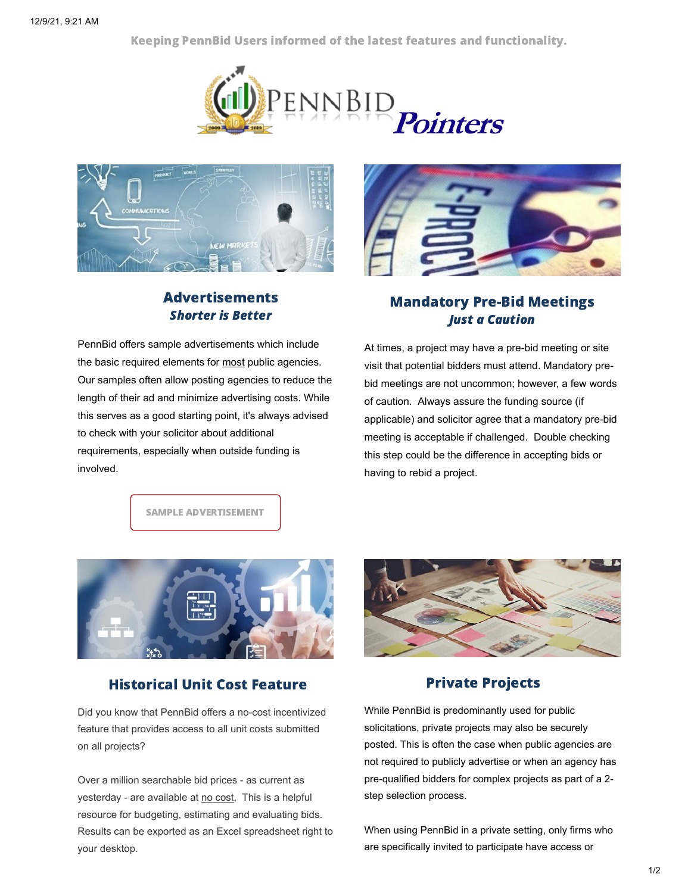Keeping PennBid Users informed of the latest features and functionality.





## Advertisements Shorter is Better

PennBid offers sample advertisements which include the basic required elements for most public agencies. Our samples often allow posting agencies to reduce the length of their ad and minimize advertising costs. While this serves as a good starting point, it's always advised to check with your solicitor about additional requirements, especially when outside funding is involved.



## Mandatory Pre-Bid Meetings Just a Caution

At times, a project may have a pre-bid meeting or site visit that potential bidders must attend. Mandatory prebid meetings are not uncommon; however, a few words of caution. Always assure the funding source (if applicable) and solicitor agree that a mandatory pre-bid meeting is acceptable if challenged. Double checking this step could be the difference in accepting bids or having to rebid a project.

SAMPLE ADVERTISEMENT



## Historical Unit Cost Feature

Did you know that PennBid offers a no-cost incentivized feature that provides access to all unit costs submitted on all projects?

Over a million searchable bid prices - as current as yesterday - are available at no cost. This is a helpful resource for budgeting, estimating and evaluating bids. Results can be exported as an Excel spreadsheet right to your desktop.



## Private Projects

While PennBid is predominantly used for public solicitations, private projects may also be securely posted. This is often the case when public agencies are not required to publicly advertise or when an agency has pre-qualified bidders for complex projects as part of a 2 step selection process.

When using PennBid in a private setting, only firms who are specifically invited to participate have access or